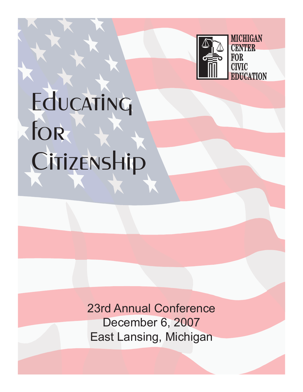

# Educating for CitizensHip

23rd Annual Conference December 6, 2007 East Lansing, Michigan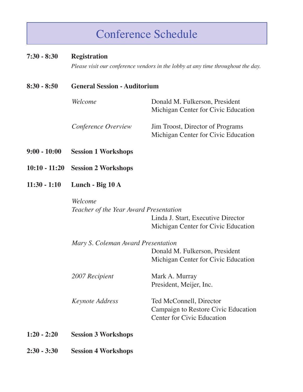## Conference Schedule

#### **7:30 - 8:30 Registration**

 *Please visit our conference vendors in the lobby at any time throughout the day.*

#### **8:30 - 8:50 General Session - Auditorium**

*Welcome* Donald M. Fulkerson, President Michigan Center for Civic Education *Conference Overview* Jim Troost, Director of Programs Michigan Center for Civic Education

- **9:00 10:00 Session 1 Workshops**
- **10:10 11:20 Session 2 Workshops**
- **11:30 1:10 Lunch Big 10 A**

#### *Welcome Teacher of the Year Award Presentation* Linda J. Start, Executive Director Michigan Center for Civic Education

|               | Mary S. Coleman Award Presentation |                                     |  |  |
|---------------|------------------------------------|-------------------------------------|--|--|
|               |                                    | Donald M. Fulkerson, President      |  |  |
|               |                                    | Michigan Center for Civic Education |  |  |
|               | 2007 Recipient                     | Mark A. Murray                      |  |  |
|               |                                    | President, Meijer, Inc.             |  |  |
|               | <i>Keynote Address</i>             | Ted McConnell, Director             |  |  |
|               |                                    | Campaign to Restore Civic Education |  |  |
|               |                                    | <b>Center for Civic Education</b>   |  |  |
| $1:20 - 2:20$ | <b>Session 3 Workshops</b>         |                                     |  |  |

**2:30 - 3:30 Session 4 Workshops**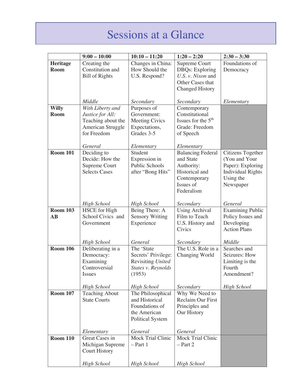## Sessions at a Glance

|                 | $9:00 - 10:00$                             | $10:10 - 11:20$                          | $1:20 - 2:20$                      | $2:30 - 3:30$                                |
|-----------------|--------------------------------------------|------------------------------------------|------------------------------------|----------------------------------------------|
| Heritage        | Creating the                               | Changes in China:                        | <b>Supreme Court</b>               | Foundations of                               |
| <b>Room</b>     | Constitution and                           | How Should the                           | <b>DBQs:</b> Exploring             | Democracy                                    |
|                 | <b>Bill of Rights</b>                      | U.S. Respond?                            | U.S. v. Nixon and                  |                                              |
|                 |                                            |                                          | Other Cases that                   |                                              |
|                 |                                            |                                          | <b>Changed History</b>             |                                              |
|                 |                                            |                                          |                                    |                                              |
|                 | Middle                                     | Secondary                                | Secondary                          | Elementary                                   |
| <b>Willy</b>    | With Liberty and                           | Purposes of                              | Contemporary                       |                                              |
| <b>Room</b>     | Justice for All:                           | Government:                              | Constitutional                     |                                              |
|                 | Teaching about the                         | <b>Meeting Civics</b>                    | Issues for the $5th$               |                                              |
|                 | American Struggle                          | Expectations,                            | Grade: Freedom                     |                                              |
|                 | for Freedom                                | Grades 3-5                               | of Speech                          |                                              |
|                 |                                            |                                          |                                    |                                              |
|                 | General                                    | Elementary                               | Elementary                         |                                              |
| <b>Room 101</b> | Deciding to                                | Student                                  | <b>Balancing Federal</b>           | Citizens Together                            |
|                 | Decide: How the                            | Expression in                            | and State                          | (You and Your                                |
|                 | Supreme Court                              | <b>Public Schools</b>                    | Authority:                         | Paper): Exploring                            |
|                 | <b>Selects Cases</b>                       | after "Bong Hits"                        | Historical and                     | <b>Individual Rights</b>                     |
|                 |                                            |                                          | Contemporary                       | Using the                                    |
|                 |                                            |                                          | Issues of                          | Newspaper                                    |
|                 |                                            |                                          | Federalism                         |                                              |
|                 |                                            |                                          |                                    |                                              |
| <b>Room 103</b> | <b>High School</b><br><b>HSCE</b> for High | <b>High School</b>                       | Secondary<br><b>Using Archival</b> | General                                      |
| <b>AB</b>       | School Civics and                          | Being There: A<br><b>Sensory Writing</b> | Film to Teach                      | <b>Examining Public</b><br>Policy Issues and |
|                 | Government                                 | Experience                               | U.S. History and                   | Developing                                   |
|                 |                                            |                                          | Civics                             | <b>Action Plans</b>                          |
|                 |                                            |                                          |                                    |                                              |
|                 | <b>High School</b>                         | General                                  | Secondary                          | Middle                                       |
| <b>Room 106</b> | Deliberating in a                          | The 'State                               | The U.S. Role in a                 | Searches and                                 |
|                 | Democracy:                                 | Secrets' Privilege:                      | Changing World                     | Seizures: How                                |
|                 | Examining                                  | Revisiting United                        |                                    | Limiting is the                              |
|                 | Controversial                              | States v. Reynolds                       |                                    | Fourth                                       |
|                 | <i>Issues</i>                              | (1953)                                   |                                    | Amendment?                                   |
|                 |                                            |                                          |                                    |                                              |
|                 | <b>High School</b>                         | <b>High School</b>                       | Secondary                          | <b>High School</b>                           |
| <b>Room 107</b> | <b>Teaching About</b>                      | The Philosophical                        | Why We Need to                     |                                              |
|                 | <b>State Courts</b>                        | and Historical                           | Reclaim Our First                  |                                              |
|                 |                                            | Foundations of                           | Principles and                     |                                              |
|                 |                                            | the American                             | Our History                        |                                              |
|                 |                                            | <b>Political System</b>                  |                                    |                                              |
|                 | Elementary                                 | General                                  | General                            |                                              |
| <b>Room 110</b> | Great Cases in                             | Mock Trial Clinic                        | <b>Mock Trial Clinic</b>           |                                              |
|                 | Michigan Supreme                           | $-$ Part 1                               | $-$ Part 2                         |                                              |
|                 | <b>Court History</b>                       |                                          |                                    |                                              |
|                 |                                            |                                          |                                    |                                              |
|                 | <b>High School</b>                         | <b>High School</b>                       | <b>High School</b>                 |                                              |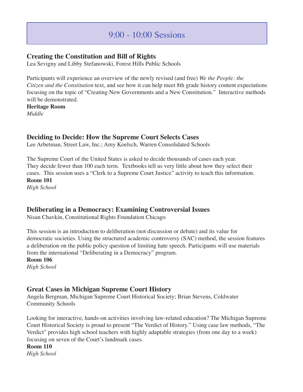## 9:00 - 10:00 Sessions

#### **Creating the Constitution and Bill of Rights**

Lea Sevigny and Libby Stefanowski, Forest Hills Public Schools

Participants will experience an overview of the newly revised (and free) *We the People: the Citizen and the Constitution* text, and see how it can help meet 8th grade history content expectations focusing on the topic of "Creating New Governments and a New Constitution." Interactive methods will be demonstrated.

**Heritage Room** *Middle*

#### **Deciding to Decide: How the Supreme Court Selects Cases**

Lee Arbetman, Street Law, Inc.; Amy Koelsch, Warren Consolidated Schools

The Supreme Court of the United States is asked to decide thousands of cases each year. They decide fewer than 100 each term. Textbooks tell us very little about how they select their cases. This session uses a "Clerk to a Supreme Court Justice" activity to teach this information. **Room 101**

*High School*

#### **Deliberating in a Democracy: Examining Controversial Issues**

Nisan Chavkin, Constitutional Rights Foundation Chicago

This session is an introduction to deliberation (not discussion or debate) and its value for democratic societies. Using the structured academic controversy (SAC) method, the session features a deliberation on the public policy question of limiting hate speech. Participants will use materials from the international "Deliberating in a Democracy" program.

**Room 106**

*High School*

#### **Great Cases in Michigan Supreme Court History**

Angela Bergman, Michigan Supreme Court Historical Society; Brian Stevens, Coldwater Community Schools

Looking for interactive, hands-on activities involving law-related education? The Michigan Supreme Court Historical Society is proud to present "The Verdict of History." Using case law methods, "The Verdict" provides high school teachers with highly adaptable strategies (from one day to a week) focusing on seven of the Court's landmark cases.

**Room 110** *High School*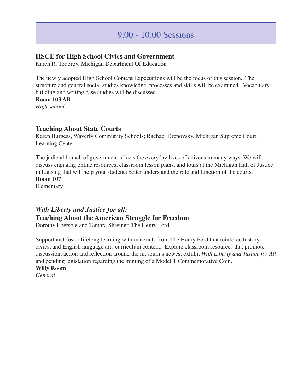#### **HSCE for High School Civics and Government**

Karen R. Todorov, Michigan Department Of Education

The newly adopted High School Content Expectations will be the focus of this session. The structure and general social studies knowledge, processes and skills will be examined. Vocabulary building and writing case studies will be discussed.

**Room 103 AB**

*High school*

#### **Teaching About State Courts**

Karen Burgess, Waverly Community Schools; Rachael Drenovsky, Michigan Supreme Court Learning Center

The judicial branch of government affects the everyday lives of citizens in many ways. We will discuss engaging online resources, classroom lesson plans, and tours at the Michigan Hall of Justice in Lansing that will help your students better understand the role and function of the courts.

**Room 107**

Elementary

## *With Liberty and Justice for all:* **Teaching About the American Struggle for Freedom**

Dorothy Ebersole and Tamara Shreiner, The Henry Ford

Support and foster lifelong learning with materials from The Henry Ford that reinforce history, civics, and English language arts curriculum content. Explore classroom resources that promote discussion, action and reflection around the museum's newest exhibit *With Liberty and Justice for All* and pending legislation regarding the minting of a Model T Commemorative Coin.

**Willy Room** *General*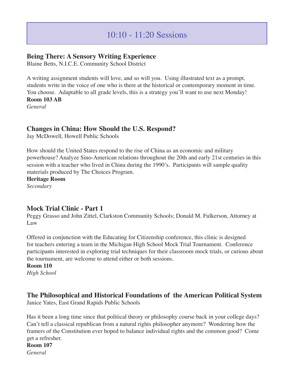#### **Being There: A Sensory Writing Experience**

Blaine Betts, N.I.C.E. Community School District

A writing assignment students will love, and so will you. Using illustrated text as a prompt, students write in the voice of one who is there at the historical or contemporary moment in time. You choose. Adaptable to all grade levels, this is a strategy you'll want to use next Monday! **Room 103 AB** 

*General*

#### **Changes in China: How Should the U.S. Respond?**

Jay McDowell, Howell Public Schools

How should the United States respond to the rise of China as an economic and military powerhouse? Analyze Sino-American relations throughout the 20th and early 21st centuries in this session with a teacher who lived in China during the 1990's. Participants will sample quality materials produced by The Choices Program.

**Heritage Room** *Secondary*

#### **Mock Trial Clinic - Part 1**

Peggy Grasso and John Zittel, Clarkston Community Schools; Donald M. Fulkerson, Attorney at Law

Offered in conjunction with the Educating for Citizenship conference, this clinic is designed for teachers entering a team in the Michigan High School Mock Trial Tournament. Conference participants interested in exploring trial techniques for their classroom mock trials, or curious about the tournament, are welcome to attend either or both sessions.

#### **Room 110**

*High School*

#### **The Philosophical and Historical Foundations of the American Political System**

Janice Yates, East Grand Rapids Public Schools

Has it been a long time since that political theory or philosophy course back in your college days? Can't tell a classical republican from a natural rights philosopher anymore? Wondering how the framers of the Constitution ever hoped to balance individual rights and the common good? Come get a refresher.

#### **Room 107**

*General*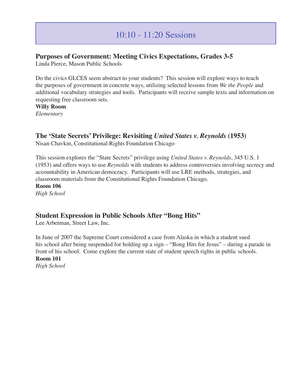## 10:10 - 11:20 Sessions

#### **Purposes of Government: Meeting Civics Expectations, Grades 3-5**

Linda Pierce, Mason Public Schools

Do the civics GLCES seem abstract to your students? This session will explore ways to teach the purposes of government in concrete ways, utilizing selected lessons from *We the People* and additional vocabulary strategies and tools. Participants will receive sample texts and information on requesting free classroom sets.

**Willy Room**

*Elementary*

#### **The 'State Secrets' Privilege: Revisiting** *United States v. Reynolds* **(1953)**

Nisan Chavkin, Constitutional Rights Foundation Chicago

This session explores the "State Secrets" privilege using *United States v. Reynolds*, 345 U.S. 1 (1953) and offers ways to use *Reynolds* with students to address controversies involving secrecy and accountability in American democracy. Participants will use LRE methods, strategies, and classroom materials from the Constitutional Rights Foundation Chicago.

**Room 106** *High School*

#### **Student Expression in Public Schools After "Bong Hits"**

Lee Arbetman, Street Law, Inc.

In June of 2007 the Supreme Court considered a case from Alaska in which a student sued his school after being suspended for holding up a sign - "Bong Hits for Jesus" - during a parade in front of his school. Come explore the current state of student speech rights in public schools. **Room 101** *High School*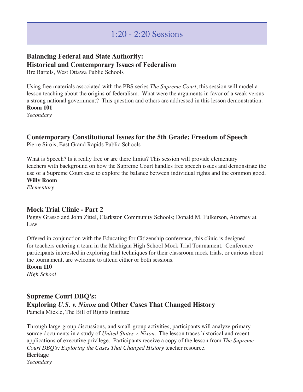## **Balancing Federal and State Authority: Historical and Contemporary Issues of Federalism**

Bre Bartels, West Ottawa Public Schools

Using free materials associated with the PBS series *The Supreme Court*, this session will model a lesson teaching about the origins of federalism. What were the arguments in favor of a weak versus a strong national government? This question and others are addressed in this lesson demonstration. **Room 101**

*Secondary*

#### **Contemporary Constitutional Issues for the 5th Grade: Freedom of Speech**

Pierre Sirois, East Grand Rapids Public Schools

What is Speech? Is it really free or are there limits? This session will provide elementary teachers with background on how the Supreme Court handles free speech issues and demonstrate the use of a Supreme Court case to explore the balance between individual rights and the common good. **Willy Room**

*Elementary*

#### **Mock Trial Clinic - Part 2**

Peggy Grasso and John Zittel, Clarkston Community Schools; Donald M. Fulkerson, Attorney at Law

Offered in conjunction with the Educating for Citizenship conference, this clinic is designed for teachers entering a team in the Michigan High School Mock Trial Tournament. Conference participants interested in exploring trial techniques for their classroom mock trials, or curious about the tournament, are welcome to attend either or both sessions.

#### **Room 110**

*High School*

#### **Supreme Court DBQ's:**

**Exploring** *U.S. v. Nixon* **and Other Cases That Changed History**

Pamela Mickle, The Bill of Rights Institute

Through large-group discussions, and small-group activities, participants will analyze primary source documents in a study of *United States v. Nixon*. The lesson traces historical and recent applications of executive privilege. Participants receive a copy of the lesson from *The Supreme Court DBQ's: Exploring the Cases That Changed History* teacher resource.

**Heritage** *Secondary*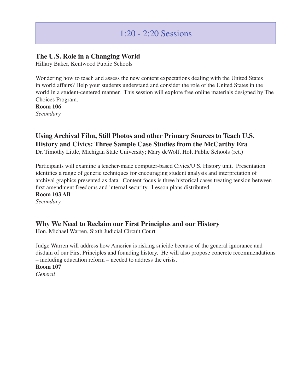#### **The U.S. Role in a Changing World**

Hillary Baker, Kentwood Public Schools

Wondering how to teach and assess the new content expectations dealing with the United States in world affairs? Help your students understand and consider the role of the United States in the world in a student-centered manner. This session will explore free online materials designed by The Choices Program.

**Room 106** *Secondary*

## **Using Archival Film, Still Photos and other Primary Sources to Teach U.S. History and Civics: Three Sample Case Studies from the McCarthy Era**

Dr. Timothy Little, Michigan State University; Mary deWolf, Holt Public Schools (ret.)

Participants will examine a teacher-made computer-based Civics/U.S. History unit. Presentation identifies a range of generic techniques for encouraging student analysis and interpretation of archival graphics presented as data. Content focus is three historical cases treating tension between first amendment freedoms and internal security. Lesson plans distributed.

**Room 103 AB** *Secondary*

#### **Why We Need to Reclaim our First Principles and our History**

Hon. Michael Warren, Sixth Judicial Circuit Court

Judge Warren will address how America is risking suicide because of the general ignorance and disdain of our First Principles and founding history. He will also propose concrete recommendations – including education reform – needed to address the crisis.

**Room 107**

*General*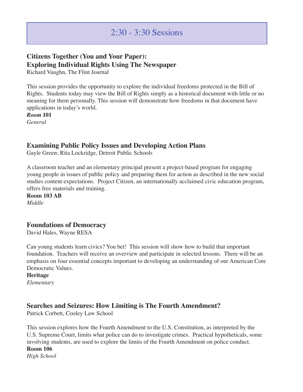## **Citizens Together (You and Your Paper): Exploring Individual Rights Using The Newspaper**

Richard Vaughn, The Flint Journal

This session provides the opportunity to explore the individual freedoms protected in the Bill of Rights. Students today may view the Bill of Rights simply as a historical document with little or no meaning for them personally. This session will demonstrate how freedoms in that document have applications in today's world.

*Room* **101** *General*

#### **Examining Public Policy Issues and Developing Action Plans**

Gayle Green; Rita Lockridge, Detroit Public Schools

A classroom teacher and an elementary principal present a project-based program for engaging young people in issues of public policy and preparing them for action as described in the new social studies content expectations. Project Citizen, an internationally acclaimed civic education program, offers free materials and training.

**Room 103 AB** *Middle*

#### **Foundations of Democracy**

David Hales, Wayne RESA

Can young students learn civics? You bet! This session will show how to build that important foundation. Teachers will receive an overview and participate in selected lessons. There will be an emphasis on four essential concepts important to developing an understanding of our American Core Democratic Values.

**Heritage**

*Elementary*

#### **Searches and Seizures: How Limiting is The Fourth Amendment?**

Patrick Corbett, Cooley Law School

This session explores how the Fourth Amendment to the U.S. Constitution, as interpreted by the U.S. Supreme Court, limits what police can do to investigate crimes. Practical hypotheticals, some involving students, are used to explore the limits of the Fourth Amendment on police conduct. **Room 106** *High School*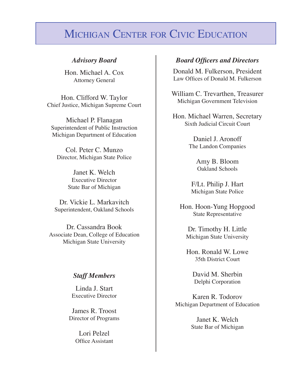## MICHIGAN CENTER FOR CIVIC EDUCATION

Hon. Michael A. Cox Attorney General

Hon. Clifford W. Taylor Chief Justice, Michigan Supreme Court

Michael P. Flanagan Superintendent of Public Instruction Michigan Department of Education

Col. Peter C. Munzo Director, Michigan State Police

> Janet K. Welch Executive Director State Bar of Michigan

Dr. Vickie L. Markavitch Superintendent, Oakland Schools

Dr. Cassandra Book Associate Dean, College of Education Michigan State University

#### *Staff Members*

Linda J. Start Executive Director

James R. Troost Director of Programs

> Lori Pelzel Office Assistant

#### *Advisory Board Board Officers and Directors*

Donald M. Fulkerson, President Law Offices of Donald M. Fulkerson

William C. Trevarthen, Treasurer Michigan Government Television

Hon. Michael Warren, Secretary Sixth Judicial Circuit Court

> Daniel J. Aronoff The Landon Companies

> > Amy B. Bloom Oakland Schools

F/Lt. Philip J. Hart Michigan State Police

Hon. Hoon-Yung Hopgood State Representative

Dr. Timothy H. Little Michigan State University

Hon. Ronald W. Lowe 35th District Court

> David M. Sherbin Delphi Corporation

Karen R. Todorov Michigan Department of Education

> Janet K. Welch State Bar of Michigan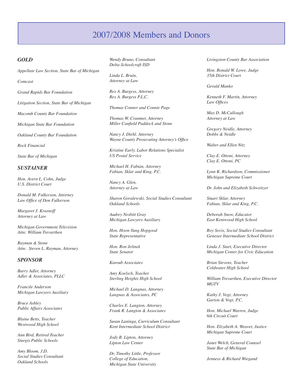## 2007/2008 Members and Donors

#### *Gold*

*Appellate Law Section, State Bar of Michigan*

*Comcast*

*Grand Rapids Bar Foundation*

*Litigation Section, State Bar of Michigan*

*Macomb County Bar Foundation*

*Michigan State Bar Foundation*

*Oakland County Bar Foundation*

*Rock Financial*

*State Bar of Michigan*

#### *Sustainer*

*Hon. Avern L. Cohn, Judge U.S. District Court*

*Donald M. Fulkerson, Attorney Law Office of Don Fulkerson*

*Margaret J. Krasnoff Attorney at Law*

*Michigan Government Television Attn: William Trevarthen*

*Rayman & Stone Attn: Steven L. Rayman, Attorney*

#### *Sponsor*

*Barry Adler, Attorney Adler & Associates, PLLC*

*Francile Anderson Michigan Lawyers Auxiliary*

*Bruce Ashley Public Affairs Associates*

*Blaine Betts, Teacher Westwood High School*

*Ann Bird, Retired Teacher Sturgis Public Schools*

*Amy Bloom, J.D. Social Studies Consultant Oakland Schools*

*Wendy Bruno, Consultant Delta-Schoolcraft ISD*

*Linda L. Bruin, Attorney at Law*

*Rex A. Burgess, Attorney Rex A. Burgess P.L.C.*

*Thomas Conner and Connie Page*

*Thomas W. Cranmer, Attorney Miller Canfield Paddock and Stone*

*Nancy J. Diehl, Attorney Wayne County Prosecuting Attorney's Office*

*Kristine Early, Labor Relations Specialist US Postal Service*

*Michael H. Fabian, Attorney Fabian, Sklar and King, P.C.*

*Nancy A. Glen, Attorney at Law*

*Sharon Goralewski, Social Studies Consultant Oakland Schools*

*Audrey Nesbitt Gray Michigan Lawyers Auxiliary*

*Hon. Hoon-Yung Hopgood State Representative*

*Hon. Ron Jelinek State Senator*

*Karoub Associates*

*Amy Koelsch, Teacher Sterling Heights High School*

*Michael D. Langnas, Attorney Langnas & Associates, PC*

*Charles E. Langton, Attorney Frank R. Langton & Associates*

*Susan Laninga, Curriculum Consultant Kent Intermediate School District*

*Jody B. Lipton, Attorney Lipton Law Center*

*Dr. Timothy Little, Professor College of Education, Michigan State University*

*Livingston County Bar Association*

*Hon. Ronald W. Lowe, Judge 35th District Court*

*Gerald Manko*

*Kenneth F. Martin, Attorney Law Offices*

*Max D. McCullough Attorney at Law*

*Gregory Neidle, Attorney Dobbs & Neidle*

*Walter and Ellen Nitz*

*Clay E. Ottoni, Attorney Clay E. Ottoni, PC*

*Lynn K. Richardson, Commissioner Michigan Supreme Court*

*Dr. John and Elizabeth Schweitzer*

*Stuart Sklar, Attorney Fabian, Sklar and King, P.C.*

*Deborah Snow, Educator East Kentwood High School*

*Roy Sovis, Social Studies Consultant Genesee Intermediate School District*

*Linda J. Start, Executive Director Michigan Center for Civic Education*

*Brian Stevens, Teacher Coldwater High School*

*William Trevarthen, Executive Director MGTV*

*Kathy J. Vogt, Attorney Garton & Vogt, P.C.*

*Hon. Michael Warren, Judge 6th Circuit Court*

*Hon. Elizabeth A. Weaver, Justice Michigan Supreme Court*

*Janet Welch, General Counsel State Bar of Michigan*

*Jenness & Richard Wiegand*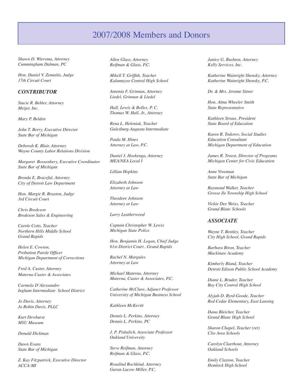### 2007/2008 Members and Donors

*Shawn D. Wiersma, Attorney Cummingham Dalman, PC*

*Hon. Daniel V. Zemaitis, Judge 17th Circuit Court*

#### *Contributor*

*Stacie R. Behler, Attorney Meijer, Inc.*

*Mary P. Belden*

*John T. Berry, Executive Director State Bar of Michigan*

*Deborah K. Blair, Attorney Wayne County Labor Relations Division*

*Margaret Bossenbery, Executive Coordinator State Bar of Michigan*

*Brenda E. Braceful, Attorney City of Detroit Law Department*

*Hon. Margie R. Braxton, Judge 3rd Circuit Court*

*Chris Bredeson Bredeson Sales & Engineering*

*Carole Cotts, Teacher Northern Hills Middle School Grand Rapids*

*Helen E. Cowton, Probation Parole Officer Michigan Department of Corrections*

*Fred A. Custer, Attorney Materna Custer & Associates*

*Carmela D'Alessandro Ingham Intermediate School District*

*Jo Davis, Attorney Jo Robin Davis, PLLC*

*Kurt Dewhurst MSU Museum*

*Donald Dickman*

*Dawn Evans State Bar of Michigan*

*Z. Kay Fitzpatrick, Executive Director ACCA-MI*

*Allen Glass, Attorney Reifman & Glass, P.C.*

*Mikell T. Griffith, Teacher Kalamazoo Central High School*

*Antonia F. Grinnan, Attorney Liedel, Grinnan & Liedel*

*Hall, Lewis & Bolles, P. C. Thomas W. Hall, Jr., Attorney*

*Rena L. Heleniak, Teacher Galesburg-Augusta Intermediate*

*Paula M. Hines Attorney at Law, P.C.*

*Daniel J. Hoekenga, Attorney MEA/NEA Local I*

*Lillian Hopkins*

*Elizabeth Johnson Attorney at Law*

*Theodore Johnson Attorney at Law*

*Larry Leatherwood*

*Captain Christopher W. Lewis Michigan State Police*

*Hon. Benjamin H. Logan, Chief Judge 61st District Court , Grand Rapids*

*Rachel N. Margules Attorney at Law*

*Michael Materna, Attorney Materna, Custer & Associates, P.C.*

*Catherine McClure, Adjunct Professor University of Michigan Business School*

*Kathleen McKevitt*

*Dennis L. Perkins, Attorney Dennis L. Perkins, PC*

*J. P. Piskulich, Associate Professor Oakland University*

*Steve Reifman, Attorney Reifman & Glass, P.C.*

*Rosalind Rochkind, Attorney Garan Lucow Miller, P.C.*

*Janice G. Rushton, Attorney Kelly Services, Inc.*

*Katherine Wainright Shensky, Attorney Katherine Wainright Shensky, P.C.*

*Dr. & Mrs. Jerome Sitner*

*Hon. Alma Wheeler Smith State Representative*

*Kathleen Straus, President State Board of Education*

*Karen R. Todorov, Social Studies Education Consultant Michigan Department of Education*

*James R. Troost, Director of Programs Michigan Center for Civic Education*

*Anne Vrooman State Bar of Michigan*

*Raymond Walker, Teacher Grosse Ile Township High School*

*Vickie Dee Weiss, Teacher Grand Blanc Schools*

#### *Associate*

*Wayne T. Bentley, Teacher City High School, Grand Rapids*

*Barbara Biron, Teacher Mackinaw Academy*

*Kimberly Bland, Teacher Detroit Edison Public School Academy*

*Diane L. Bruder, Teacher Bay City Central High School*

*Alyjah D. Byrd-Goode, Teacher Red Cedar Elementary, East Lansing*

*Dana Bleicher, Teacher Grand Blanc High School*

*Sharon Chapel, Teacher (ret) Clio Area Schools*

*Carolyn Claerhout, Attorney Oakland Schools*

*Emily Clayton, Teacher Hemlock High School*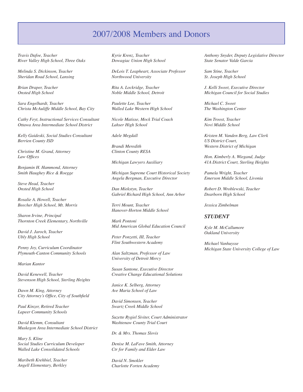#### 2007/2008 Members and Donors

*Travis Dafoe, Teacher River Valley High School, Three Oaks*

*Melinda S. Dickinson, Teacher Sheridan Road School, Lansing*

*Brian Draper, Teacher Onsted High School*

*Sara Engelhardt, Teacher Christa McAuliffe Middle School, Bay City*

*Cathy Feyt, Instructional Services Consultant Ottawa Area Intermediate School District*

*Kelly Gaideski, Social Studies Consultant Berrien County ISD*

*Christine M. Grand, Attorney Law Offices*

*Benjamin H. Hammond, Attorney Smith Haughey Rice & Roegge*

*Steve Head, Teacher Onsted High School*

*Rosalie A. Howell, Teacher Beecher High School, Mt. Morris*

*Sharon Irvine, Principal Thornton Creek Elementary, Northville*

*David J. Jaroch, Teacher Ubly High School*

*Penny Joy, Curriculum Coordinator Plymouth-Canton Community Schools*

*Marian Kantor*

*David Kenewell, Teacher Stevenson High School, Sterling Heights*

*Dawn M. King, Attorney City Attorney's Office, City of Southfield*

*Paul Kinzer, Retired Teacher Lapeer Community Schools*

*David Klemm, Consultant Muskegon Area Intermediate School District*

*Mary S. Kline Social Studies Curriculum Developer Walled Lake Consolidated Schools*

*Maribeth Krehbiel, Teacher Angell Elementary, Berkley*

*Kyrie Krenz, Teacher Dowagiac Union High School*

*DeLois T. Leapheart, Associate Professor Northwood University*

*Rita A. Lockridge, Teacher Noble Middle School, Detroit*

*Paulette Loe, Teacher Walled Lake Western High School*

*Nicole Matisse, Mock Trial Coach Lahser High School*

*Adele Megdall*

*Brandi Meredith Clinton County RESA*

*Michigan Lawyers Auxiliary*

*Michigan Supreme Court Historical Society Angela Bergman, Executive Director*

*Dan Miekstyn, Teacher Gabriel Richard High School, Ann Arbor*

*Terri Mount, Teacher Hanover-Horton Middle School*

*Mark Pontoni Mid American Global Education Council*

*Peter Ponzetti, III, Teacher Flint Southwestern Academy*

*Alan Saltzman, Professor of Law University of Detroit Mercy*

*Susan Santone, Executive Director Creative Change Educational Solutions*

*Janice K. Selberg, Attorney Ave Maria School of Law*

*David Simonsen, Teacher Swartz Creek Middle School*

*Suzette Rygiel Siviter, Court Administrator Washtenaw County Trial Court*

*Dr. & Mrs. Thomas Slovis*

*Denise M. LaFave Smith, Attorney Ctr for Family and Elder Law*

*David N. Smokler Charlotte Forten Academy* *Anthony Snyder, Deputy Legislative Director State Senator Valde Garcia*

*Sam Stine, Teacher St. Joseph High School*

*J. Kelli Sweet, Executive Director Michigan Council for Social Studies*

*Michael C. Sweet The Washington Center*

*Kim Troost, Teacher Novi Middle School*

*Kristen M. Vanden Berg, Law Clerk US District Court, Western District of Michigan*

*Hon. Kimberly A. Wiegand, Judge 41A District Court, Sterling Heights*

*Pamela Wright, Teacher Emerson Middle School, Livonia*

*Robert D. Wroblewski, Teacher Dearborn High School*

*Jessica Zimbelman*

#### *Student*

*Kyle M. McCallumore Oakland University*

*Michael Vanhuysse Michigan State University College of Law*